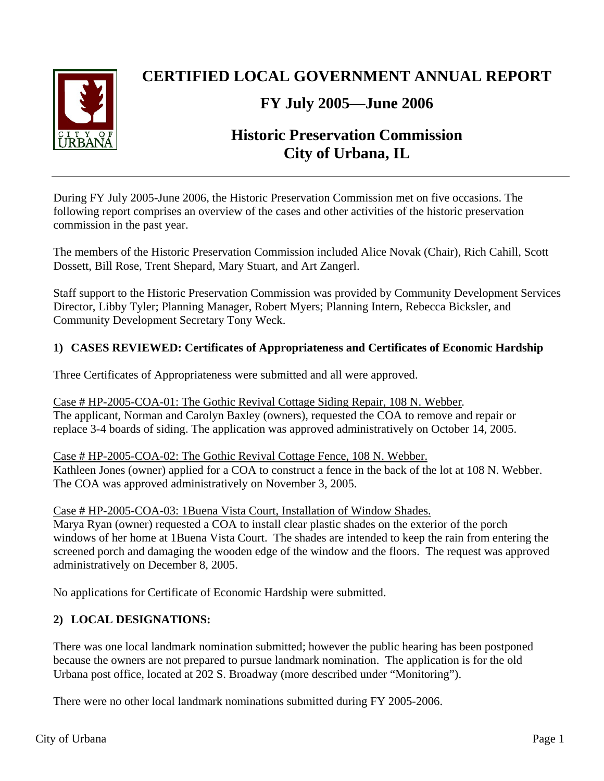

# **CERTIFIED LOCAL GOVERNMENT ANNUAL REPORT**

# **FY July 2005—June 2006**

# **Historic Preservation Commission City of Urbana, IL**

During FY July 2005-June 2006, the Historic Preservation Commission met on five occasions. The following report comprises an overview of the cases and other activities of the historic preservation commission in the past year.

The members of the Historic Preservation Commission included Alice Novak (Chair), Rich Cahill, Scott Dossett, Bill Rose, Trent Shepard, Mary Stuart, and Art Zangerl.

Staff support to the Historic Preservation Commission was provided by Community Development Services Director, Libby Tyler; Planning Manager, Robert Myers; Planning Intern, Rebecca Bicksler, and Community Development Secretary Tony Weck.

## **1) CASES REVIEWED: Certificates of Appropriateness and Certificates of Economic Hardship**

Three Certificates of Appropriateness were submitted and all were approved.

Case # HP-2005-COA-01: The Gothic Revival Cottage Siding Repair, 108 N. Webber*.*  The applicant, Norman and Carolyn Baxley (owners), requested the COA to remove and repair or replace 3-4 boards of siding. The application was approved administratively on October 14, 2005.

## Case # HP-2005-COA-02: The Gothic Revival Cottage Fence, 108 N. Webber.

Kathleen Jones (owner) applied for a COA to construct a fence in the back of the lot at 108 N. Webber. The COA was approved administratively on November 3, 2005.

Case # HP-2005-COA-03: 1Buena Vista Court, Installation of Window Shades.

Marya Ryan (owner) requested a COA to install clear plastic shades on the exterior of the porch windows of her home at 1Buena Vista Court. The shades are intended to keep the rain from entering the screened porch and damaging the wooden edge of the window and the floors. The request was approved administratively on December 8, 2005.

No applications for Certificate of Economic Hardship were submitted.

# **2) LOCAL DESIGNATIONS:**

There was one local landmark nomination submitted; however the public hearing has been postponed because the owners are not prepared to pursue landmark nomination. The application is for the old Urbana post office, located at 202 S. Broadway (more described under "Monitoring").

There were no other local landmark nominations submitted during FY 2005-2006.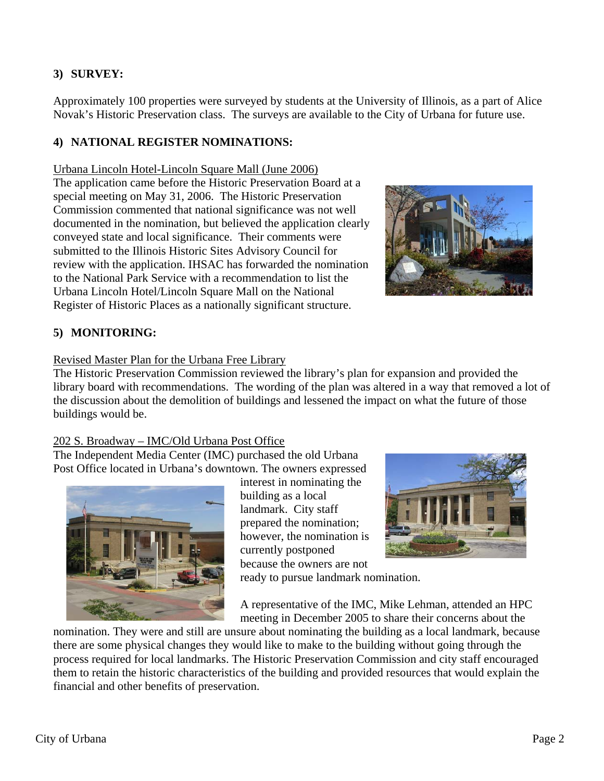# **3) SURVEY:**

Approximately 100 properties were surveyed by students at the University of Illinois, as a part of Alice Novak's Historic Preservation class. The surveys are available to the City of Urbana for future use.

## **4) NATIONAL REGISTER NOMINATIONS:**

#### Urbana Lincoln Hotel-Lincoln Square Mall (June 2006)

The application came before the Historic Preservation Board at a special meeting on May 31, 2006. The Historic Preservation Commission commented that national significance was not well documented in the nomination, but believed the application clearly conveyed state and local significance. Their comments were submitted to the Illinois Historic Sites Advisory Council for review with the application. IHSAC has forwarded the nomination to the National Park Service with a recommendation to list the Urbana Lincoln Hotel/Lincoln Square Mall on the National Register of Historic Places as a nationally significant structure.



## **5) MONITORING:**

#### Revised Master Plan for the Urbana Free Library

The Historic Preservation Commission reviewed the library's plan for expansion and provided the library board with recommendations. The wording of the plan was altered in a way that removed a lot of the discussion about the demolition of buildings and lessened the impact on what the future of those buildings would be.

## 202 S. Broadway – IMC/Old Urbana Post Office

The Independent Media Center (IMC) purchased the old Urbana Post Office located in Urbana's downtown. The owners expressed



interest in nominating the building as a local landmark. City staff prepared the nomination; however, the nomination is currently postponed because the owners are not



ready to pursue landmark nomination.

A representative of the IMC, Mike Lehman, attended an HPC meeting in December 2005 to share their concerns about the

nomination. They were and still are unsure about nominating the building as a local landmark, because there are some physical changes they would like to make to the building without going through the process required for local landmarks. The Historic Preservation Commission and city staff encouraged them to retain the historic characteristics of the building and provided resources that would explain the financial and other benefits of preservation.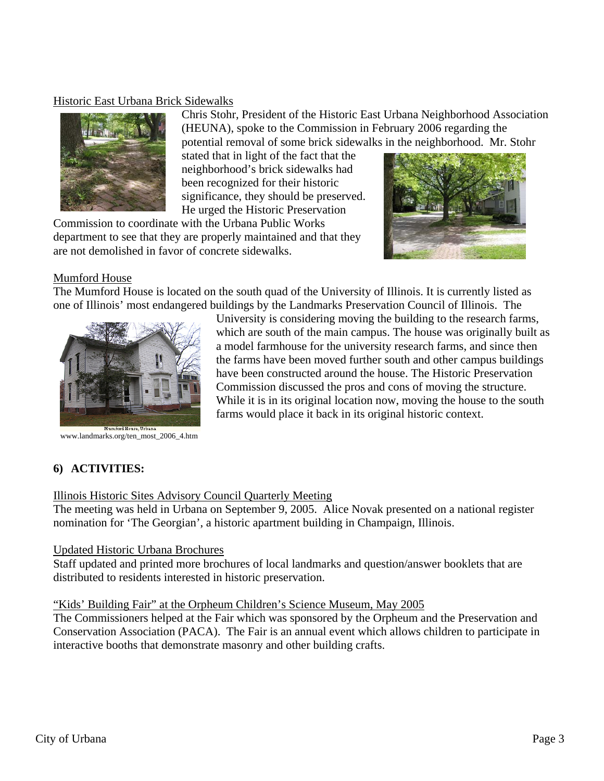## Historic East Urbana Brick Sidewalks



Chris Stohr, President of the Historic East Urbana Neighborhood Association (HEUNA), spoke to the Commission in February 2006 regarding the

potential removal of some brick sidewalks in the neighborhood. Mr. Stohr

stated that in light of the fact that the neighborhood's brick sidewalks had been recognized for their historic significance, they should be preserved. He urged the Historic Preservation

Commission to coordinate with the Urbana Public Works department to see that they are properly maintained and that they are not demolished in favor of concrete sidewalks.



#### Mumford House

The Mumford House is located on the south quad of the University of Illinois. It is currently listed as one of Illinois' most endangered buildings by the Landmarks Preservation Council of Illinois. The



www.landmarks.org/ten\_most\_2006\_4.htm

University is considering moving the building to the research farms, which are south of the main campus. The house was originally built as a model farmhouse for the university research farms, and since then the farms have been moved further south and other campus buildings have been constructed around the house. The Historic Preservation Commission discussed the pros and cons of moving the structure. While it is in its original location now, moving the house to the south farms would place it back in its original historic context.

# **6) ACTIVITIES:**

#### Illinois Historic Sites Advisory Council Quarterly Meeting

The meeting was held in Urbana on September 9, 2005. Alice Novak presented on a national register nomination for 'The Georgian', a historic apartment building in Champaign, Illinois.

#### Updated Historic Urbana Brochures

Staff updated and printed more brochures of local landmarks and question/answer booklets that are distributed to residents interested in historic preservation.

#### "Kids' Building Fair" at the Orpheum Children's Science Museum, May 2005

The Commissioners helped at the Fair which was sponsored by the Orpheum and the Preservation and Conservation Association (PACA). The Fair is an annual event which allows children to participate in interactive booths that demonstrate masonry and other building crafts.